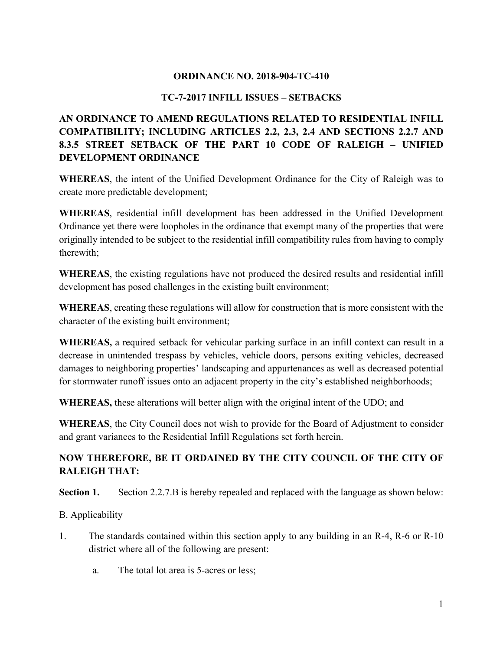### **ORDINANCE NO. 2018-904-TC-410**

### **TC-7-2017 INFILL ISSUES – SETBACKS**

# **AN ORDINANCE TO AMEND REGULATIONS RELATED TO RESIDENTIAL INFILL COMPATIBILITY; INCLUDING ARTICLES 2.2, 2.3, 2.4 AND SECTIONS 2.2.7 AND 8.3.5 STREET SETBACK OF THE PART 10 CODE OF RALEIGH – UNIFIED DEVELOPMENT ORDINANCE**

**WHEREAS**, the intent of the Unified Development Ordinance for the City of Raleigh was to create more predictable development;

**WHEREAS**, residential infill development has been addressed in the Unified Development Ordinance yet there were loopholes in the ordinance that exempt many of the properties that were originally intended to be subject to the residential infill compatibility rules from having to comply therewith;

**WHEREAS**, the existing regulations have not produced the desired results and residential infill development has posed challenges in the existing built environment;

**WHEREAS**, creating these regulations will allow for construction that is more consistent with the character of the existing built environment;

**WHEREAS,** a required setback for vehicular parking surface in an infill context can result in a decrease in unintended trespass by vehicles, vehicle doors, persons exiting vehicles, decreased damages to neighboring properties' landscaping and appurtenances as well as decreased potential for stormwater runoff issues onto an adjacent property in the city's established neighborhoods;

**WHEREAS,** these alterations will better align with the original intent of the UDO; and

**WHEREAS**, the City Council does not wish to provide for the Board of Adjustment to consider and grant variances to the Residential Infill Regulations set forth herein.

## **NOW THEREFORE, BE IT ORDAINED BY THE CITY COUNCIL OF THE CITY OF RALEIGH THAT:**

**Section 1.** Section 2.2.7.B is hereby repealed and replaced with the language as shown below:

### B. Applicability

- 1. The standards contained within this section apply to any building in an R-4, R-6 or R-10 district where all of the following are present:
	- a. The total lot area is 5-acres or less;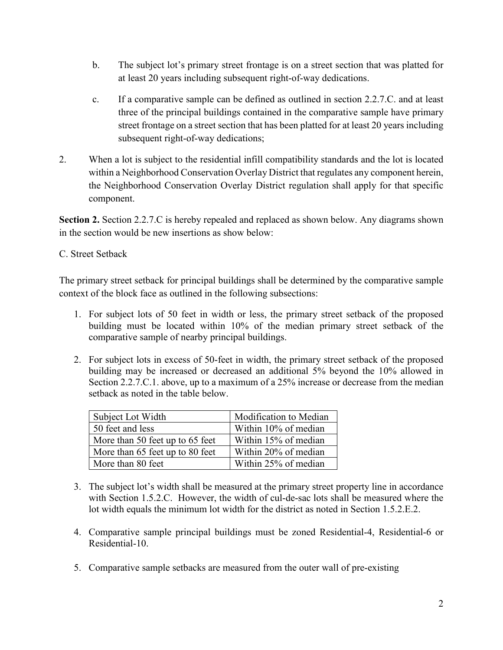- b. The subject lot's primary street frontage is on a street section that was platted for at least 20 years including subsequent right-of-way dedications.
- c. If a comparative sample can be defined as outlined in section 2.2.7.C. and at least three of the principal buildings contained in the comparative sample have primary street frontage on a street section that has been platted for at least 20 years including subsequent right-of-way dedications;
- 2. When a lot is subject to the residential infill compatibility standards and the lot is located within a Neighborhood Conservation Overlay District that regulates any component herein, the Neighborhood Conservation Overlay District regulation shall apply for that specific component.

**Section 2.** Section 2.2.7.C is hereby repealed and replaced as shown below. Any diagrams shown in the section would be new insertions as show below:

### C. Street Setback

The primary street setback for principal buildings shall be determined by the comparative sample context of the block face as outlined in the following subsections:

- 1. For subject lots of 50 feet in width or less, the primary street setback of the proposed building must be located within 10% of the median primary street setback of the comparative sample of nearby principal buildings.
- 2. For subject lots in excess of 50-feet in width, the primary street setback of the proposed building may be increased or decreased an additional 5% beyond the 10% allowed in Section 2.2.7.C.1. above, up to a maximum of a 25% increase or decrease from the median setback as noted in the table below.

| Subject Lot Width               | Modification to Median |
|---------------------------------|------------------------|
| 50 feet and less                | Within 10% of median   |
| More than 50 feet up to 65 feet | Within 15% of median   |
| More than 65 feet up to 80 feet | Within 20% of median   |
| More than 80 feet               | Within 25% of median   |

- 3. The subject lot's width shall be measured at the primary street property line in accordance with Section 1.5.2.C. However, the width of cul-de-sac lots shall be measured where the lot width equals the minimum lot width for the district as noted in Section 1.5.2.E.2.
- 4. Comparative sample principal buildings must be zoned Residential-4, Residential-6 or Residential-10.
- 5. Comparative sample setbacks are measured from the outer wall of pre-existing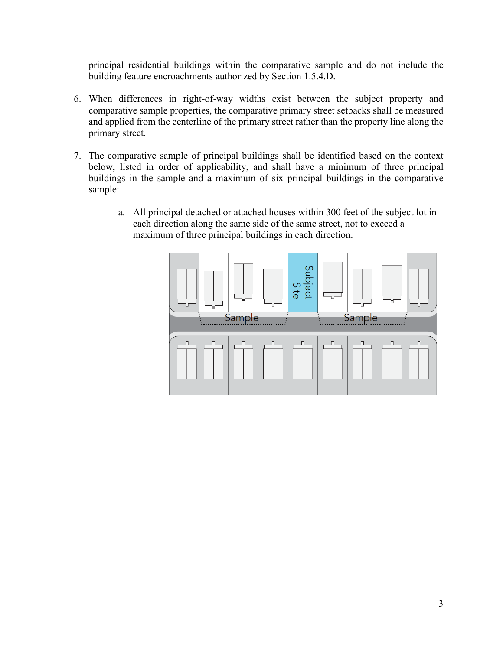principal residential buildings within the comparative sample and do not include the building feature encroachments authorized by Section 1.5.4.D.

- 6. When differences in right-of-way widths exist between the subject property and comparative sample properties, the comparative primary street setbacks shall be measured and applied from the centerline of the primary street rather than the property line along the primary street.
- 7. The comparative sample of principal buildings shall be identified based on the context below, listed in order of applicability, and shall have a minimum of three principal buildings in the sample and a maximum of six principal buildings in the comparative sample:
	- a. All principal detached or attached houses within 300 feet of the subject lot in each direction along the same side of the same street, not to exceed a maximum of three principal buildings in each direction.

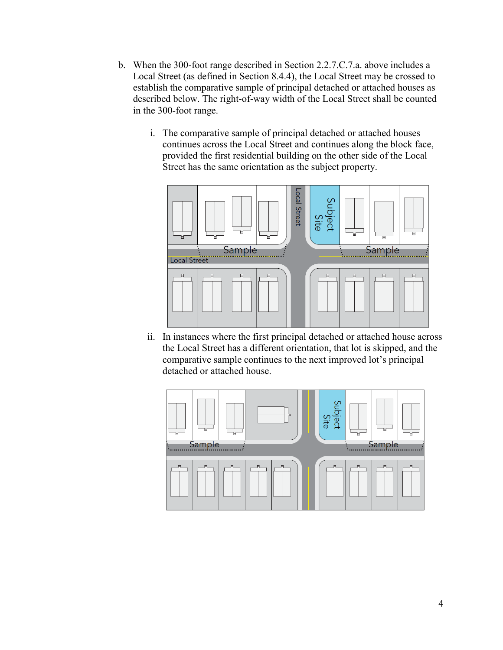- b. When the 300-foot range described in Section 2.2.7.C.7.a. above includes a Local Street (as defined in Section 8.4.4), the Local Street may be crossed to establish the comparative sample of principal detached or attached houses as described below. The right-of-way width of the Local Street shall be counted in the 300-foot range.
	- i. The comparative sample of principal detached or attached houses continues across the Local Street and continues along the block face, provided the first residential building on the other side of the Local Street has the same orientation as the subject property.



ii. In instances where the first principal detached or attached house across the Local Street has a different orientation, that lot is skipped, and the comparative sample continues to the next improved lot's principal detached or attached house.

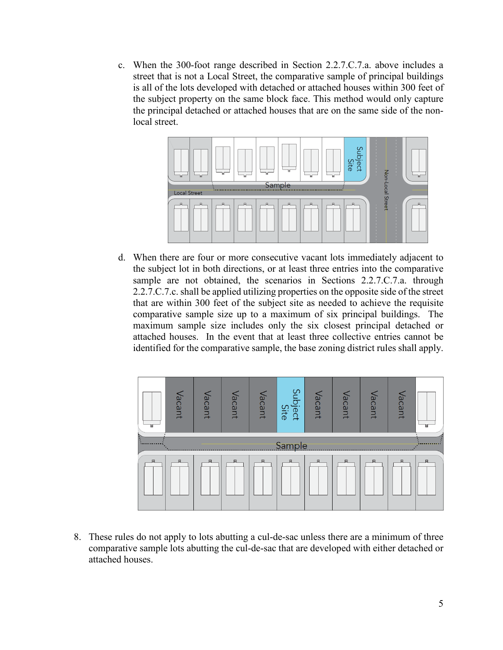c. When the 300-foot range described in Section 2.2.7.C.7.a. above includes a street that is not a Local Street, the comparative sample of principal buildings is all of the lots developed with detached or attached houses within 300 feet of the subject property on the same block face. This method would only capture the principal detached or attached houses that are on the same side of the nonlocal street.



d. When there are four or more consecutive vacant lots immediately adjacent to the subject lot in both directions, or at least three entries into the comparative sample are not obtained, the scenarios in Sections 2.2.7.C.7.a. through 2.2.7.C.7.c. shall be applied utilizing properties on the opposite side of the street that are within 300 feet of the subject site as needed to achieve the requisite comparative sample size up to a maximum of six principal buildings. The maximum sample size includes only the six closest principal detached or attached houses. In the event that at least three collective entries cannot be identified for the comparative sample, the base zoning district rules shall apply.



8. These rules do not apply to lots abutting a cul-de-sac unless there are a minimum of three comparative sample lots abutting the cul-de-sac that are developed with either detached or attached houses.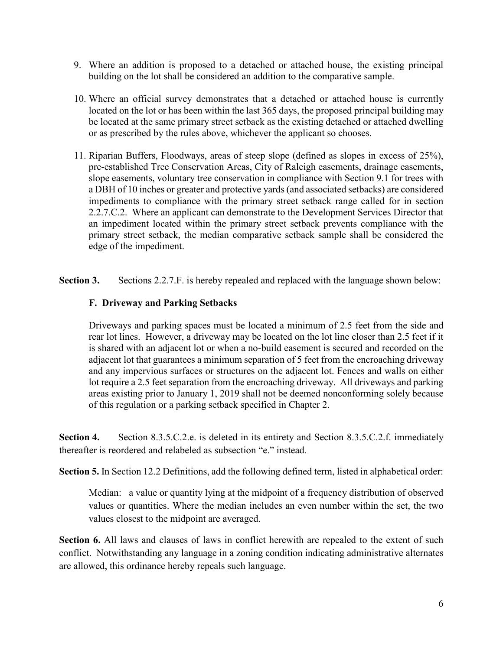- 9. Where an addition is proposed to a detached or attached house, the existing principal building on the lot shall be considered an addition to the comparative sample.
- 10. Where an official survey demonstrates that a detached or attached house is currently located on the lot or has been within the last 365 days, the proposed principal building may be located at the same primary street setback as the existing detached or attached dwelling or as prescribed by the rules above, whichever the applicant so chooses.
- 11. Riparian Buffers, Floodways, areas of steep slope (defined as slopes in excess of 25%), pre-established Tree Conservation Areas, City of Raleigh easements, drainage easements, slope easements, voluntary tree conservation in compliance with Section 9.1 for trees with a DBH of 10 inches or greater and protective yards (and associated setbacks) are considered impediments to compliance with the primary street setback range called for in section 2.2.7.C.2. Where an applicant can demonstrate to the Development Services Director that an impediment located within the primary street setback prevents compliance with the primary street setback, the median comparative setback sample shall be considered the edge of the impediment.
- **Section 3.** Sections 2.2.7.F. is hereby repealed and replaced with the language shown below:

### **F. Driveway and Parking Setbacks**

Driveways and parking spaces must be located a minimum of 2.5 feet from the side and rear lot lines. However, a driveway may be located on the lot line closer than 2.5 feet if it is shared with an adjacent lot or when a no-build easement is secured and recorded on the adjacent lot that guarantees a minimum separation of 5 feet from the encroaching driveway and any impervious surfaces or structures on the adjacent lot. Fences and walls on either lot require a 2.5 feet separation from the encroaching driveway. All driveways and parking areas existing prior to January 1, 2019 shall not be deemed nonconforming solely because of this regulation or a parking setback specified in Chapter 2.

**Section 4.** Section 8.3.5.C.2.e. is deleted in its entirety and Section 8.3.5.C.2.f. immediately thereafter is reordered and relabeled as subsection "e." instead.

**Section 5.** In Section 12.2 Definitions, add the following defined term, listed in alphabetical order:

Median: a value or quantity lying at the midpoint of a frequency distribution of observed values or quantities. Where the median includes an even number within the set, the two values closest to the midpoint are averaged.

**Section 6.** All laws and clauses of laws in conflict herewith are repealed to the extent of such conflict. Notwithstanding any language in a zoning condition indicating administrative alternates are allowed, this ordinance hereby repeals such language.